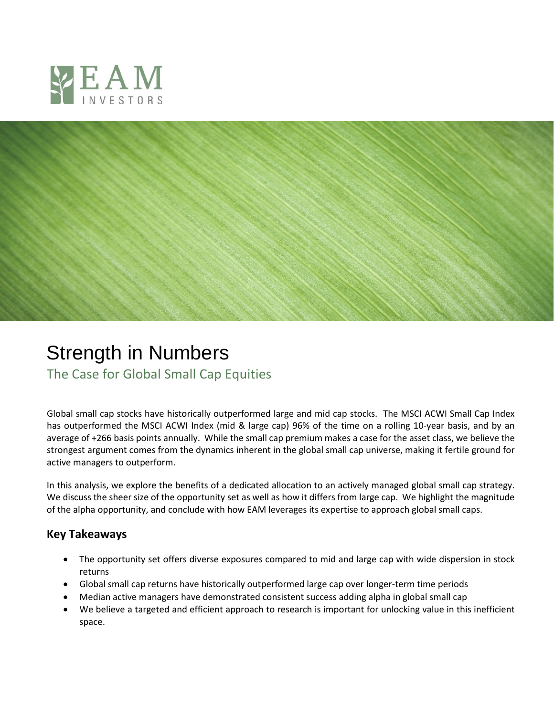



## Strength in Numbers

The Case for Global Small Cap Equities

Global small cap stocks have historically outperformed large and mid cap stocks. The MSCI ACWI Small Cap Index has outperformed the MSCI ACWI Index (mid & large cap) 96% of the time on a rolling 10-year basis, and by an average of +266 basis points annually. While the small cap premium makes a case for the asset class, we believe the strongest argument comes from the dynamics inherent in the global small cap universe, making it fertile ground for active managers to outperform.

In this analysis, we explore the benefits of a dedicated allocation to an actively managed global small cap strategy. We discuss the sheer size of the opportunity set as well as how it differs from large cap. We highlight the magnitude of the alpha opportunity, and conclude with how EAM leverages its expertise to approach global small caps.

## **Key Takeaways**

- The opportunity set offers diverse exposures compared to mid and large cap with wide dispersion in stock returns
- Global small cap returns have historically outperformed large cap over longer-term time periods
- Median active managers have demonstrated consistent success adding alpha in global small cap
- We believe a targeted and efficient approach to research is important for unlocking value in this inefficient space.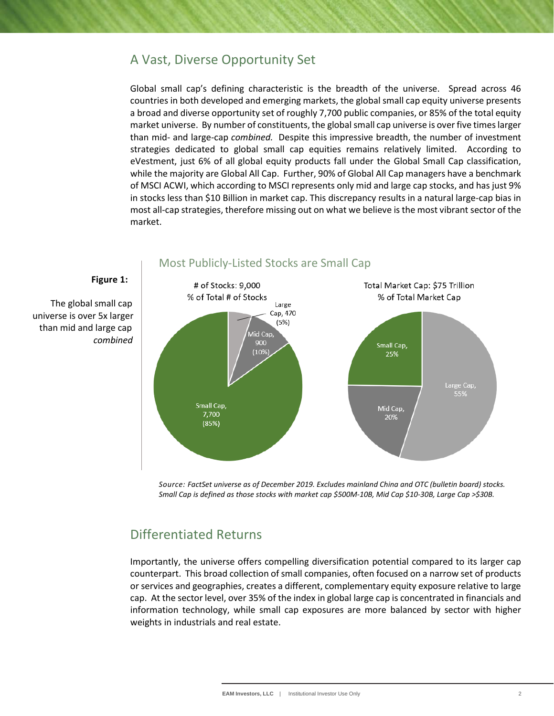## A Vast, Diverse Opportunity Set

Global small cap's defining characteristic is the breadth of the universe. Spread across 46 countries in both developed and emerging markets, the global small cap equity universe presents a broad and diverse opportunity set of roughly 7,700 public companies, or 85% of the total equity market universe. By number of constituents, the global small cap universe is over five times larger than mid- and large-cap *combined.* Despite this impressive breadth, the number of investment strategies dedicated to global small cap equities remains relatively limited. According to eVestment, just 6% of all global equity products fall under the Global Small Cap classification, while the majority are Global All Cap. Further, 90% of Global All Cap managers have a benchmark of MSCI ACWI, which according to MSCI represents only mid and large cap stocks, and has just 9% in stocks less than \$10 Billion in market cap. This discrepancy results in a natural large-cap bias in most all-cap strategies, therefore missing out on what we believe is the most vibrant sector of the market.



#### **Figure 1:**

 The global small cap universe is over 5x larger than mid and large cap  *combined*

> *Source: FactSet universe as of December 2019. Excludes mainland China and OTC (bulletin board) stocks. Small Cap is defined as those stocks with market cap \$500M-10B, Mid Cap \$10-30B, Large Cap >\$30B.*

## Differentiated Returns

Importantly, the universe offers compelling diversification potential compared to its larger cap counterpart. This broad collection of small companies, often focused on a narrow set of products or services and geographies, creates a different, complementary equity exposure relative to large cap. At the sector level, over 35% of the index in global large cap is concentrated in financials and information technology, while small cap exposures are more balanced by sector with higher weights in industrials and real estate.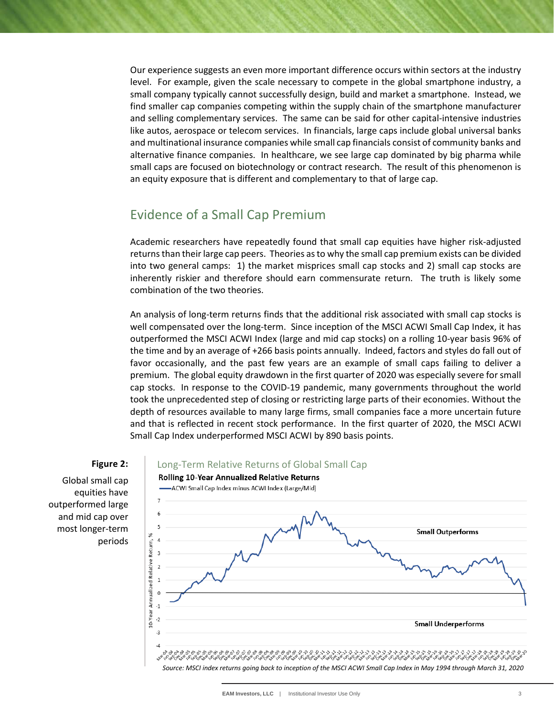Our experience suggests an even more important difference occurs within sectors at the industry level. For example, given the scale necessary to compete in the global smartphone industry, a small company typically cannot successfully design, build and market a smartphone. Instead, we find smaller cap companies competing within the supply chain of the smartphone manufacturer and selling complementary services. The same can be said for other capital-intensive industries like autos, aerospace or telecom services. In financials, large caps include global universal banks and multinational insurance companies while small cap financials consist of community banks and alternative finance companies. In healthcare, we see large cap dominated by big pharma while small caps are focused on biotechnology or contract research. The result of this phenomenon is an equity exposure that is different and complementary to that of large cap.

## Evidence of a Small Cap Premium

Academic researchers have repeatedly found that small cap equities have higher risk-adjusted returns than their large cap peers. Theories as to why the small cap premium exists can be divided into two general camps: 1) the market misprices small cap stocks and 2) small cap stocks are inherently riskier and therefore should earn commensurate return. The truth is likely some combination of the two theories.

An analysis of long-term returns finds that the additional risk associated with small cap stocks is well compensated over the long-term. Since inception of the MSCI ACWI Small Cap Index, it has outperformed the MSCI ACWI Index (large and mid cap stocks) on a rolling 10-year basis 96% of the time and by an average of +266 basis points annually. Indeed, factors and styles do fall out of favor occasionally, and the past few years are an example of small caps failing to deliver a premium. The global equity drawdown in the first quarter of 2020 was especially severe for small cap stocks. In response to the COVID-19 pandemic, many governments throughout the world took the unprecedented step of closing or restricting large parts of their economies. Without the depth of resources available to many large firms, small companies face a more uncertain future and that is reflected in recent stock performance. In the first quarter of 2020, the MSCI ACWI Small Cap Index underperformed MSCI ACWI by 890 basis points.



*Source: MSCI index returns going back to inception of the MSCI ACWI Small Cap Index in May 1994 through March 31, 2020*

## **Figure 2:**

Global small cap equities have outperformed large and mid cap over most longer-term periods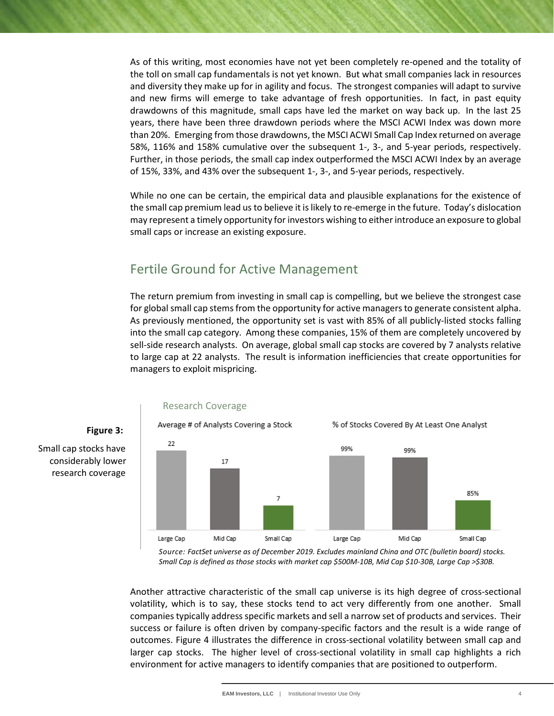As of this writing, most economies have not yet been completely re-opened and the totality of the toll on small cap fundamentals is not yet known. But what small companies lack in resources and diversity they make up for in agility and focus. The strongest companies will adapt to survive and new firms will emerge to take advantage of fresh opportunities. In fact, in past equity drawdowns of this magnitude, small caps have led the market on way back up. In the last 25 years, there have been three drawdown periods where the MSCI ACWI Index was down more than 20%. Emerging from those drawdowns, the MSCI ACWI Small Cap Index returned on average 58%, 116% and 158% cumulative over the subsequent 1-, 3-, and 5-year periods, respectively. Further, in those periods, the small cap index outperformed the MSCI ACWI Index by an average of 15%, 33%, and 43% over the subsequent 1-, 3-, and 5-year periods, respectively.

While no one can be certain, the empirical data and plausible explanations for the existence of the small cap premium lead us to believe it is likely to re-emerge in the future. Today's dislocation may represent a timely opportunity for investors wishing to either introduce an exposure to global small caps or increase an existing exposure.

## Fertile Ground for Active Management

The return premium from investing in small cap is compelling, but we believe the strongest case for global small cap stems from the opportunity for active managers to generate consistent alpha. As previously mentioned, the opportunity set is vast with 85% of all publicly-listed stocks falling into the small cap category. Among these companies, 15% of them are completely uncovered by sell-side research analysts. On average, global small cap stocks are covered by 7 analysts relative to large cap at 22 analysts. The result is information inefficiencies that create opportunities for managers to exploit mispricing.



*Source: FactSet universe as of December 2019. Excludes mainland China and OTC (bulletin board) stocks. Small Cap is defined as those stocks with market cap \$500M-10B, Mid Cap \$10-30B, Large Cap >\$30B.*

Another attractive characteristic of the small cap universe is its high degree of cross-sectional volatility, which is to say, these stocks tend to act very differently from one another. Small companies typically address specific markets and sell a narrow set of products and services. Their success or failure is often driven by company-specific factors and the result is a wide range of outcomes. Figure 4 illustrates the difference in cross-sectional volatility between small cap and larger cap stocks. The higher level of cross-sectional volatility in small cap highlights a rich environment for active managers to identify companies that are positioned to outperform.

#### **Figure 3:**

 Small cap stocks have considerably lower research coverage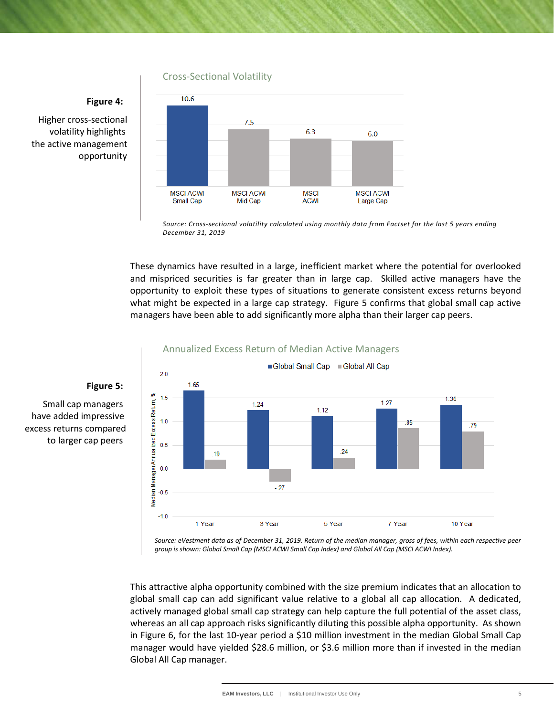Cross-Sectional Volatility

#### **Figure 4:**

 Higher cross-sectional volatility highlights the active management opportunity



*Source: Cross-sectional volatility calculated using monthly data from Factset for the last 5 years ending December 31, 2019*

These dynamics have resulted in a large, inefficient market where the potential for overlooked and mispriced securities is far greater than in large cap. Skilled active managers have the opportunity to exploit these types of situations to generate consistent excess returns beyond what might be expected in a large cap strategy. Figure 5 confirms that global small cap active managers have been able to add significantly more alpha than their larger cap peers.



#### Annualized Excess Return of Median Active Managers

*Source: eVestment data as of December 31, 2019. Return of the median manager, gross of fees, within each respective peer group is shown: Global Small Cap (MSCI ACWI Small Cap Index) and Global All Cap (MSCI ACWI Index).*

This attractive alpha opportunity combined with the size premium indicates that an allocation to global small cap can add significant value relative to a global all cap allocation. A dedicated, actively managed global small cap strategy can help capture the full potential of the asset class, whereas an all cap approach risks significantly diluting this possible alpha opportunity. As shown in Figure 6, for the last 10-year period a \$10 million investment in the median Global Small Cap manager would have yielded \$28.6 million, or \$3.6 million more than if invested in the median Global All Cap manager.

# to larger cap peers

 Small cap managers have added impressive excess returns compared

 **Figure 5:**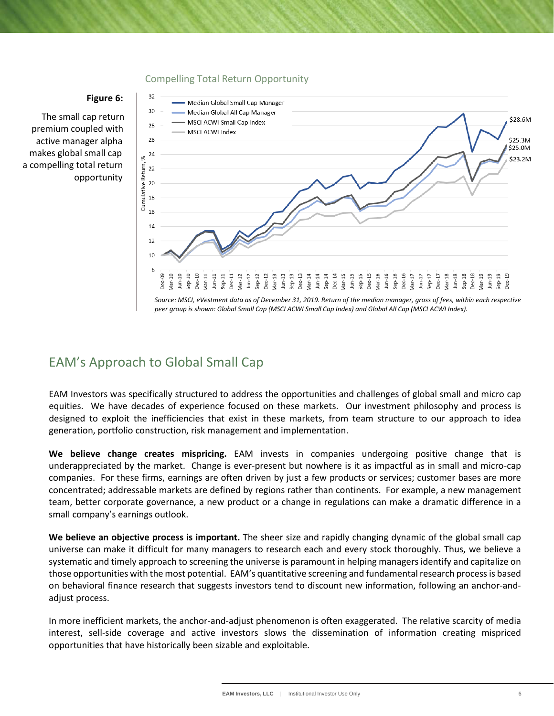#### Compelling Total Return Opportunity

#### **Figure 6:**

32

 The small cap return premium coupled with active manager alpha makes global small cap a compelling total return opportunity



*Source: MSCI, eVestment data as of December 31, 2019. Return of the median manager, gross of fees, within each respective peer group is shown: Global Small Cap (MSCI ACWI Small Cap Index) and Global All Cap (MSCI ACWI Index).*

## EAM's Approach to Global Small Cap

EAM Investors was specifically structured to address the opportunities and challenges of global small and micro cap equities. We have decades of experience focused on these markets. Our investment philosophy and process is designed to exploit the inefficiencies that exist in these markets, from team structure to our approach to idea generation, portfolio construction, risk management and implementation.

**We believe change creates mispricing.** EAM invests in companies undergoing positive change that is underappreciated by the market. Change is ever-present but nowhere is it as impactful as in small and micro-cap companies. For these firms, earnings are often driven by just a few products or services; customer bases are more concentrated; addressable markets are defined by regions rather than continents. For example, a new management team, better corporate governance, a new product or a change in regulations can make a dramatic difference in a small company's earnings outlook.

**We believe an objective process is important.** The sheer size and rapidly changing dynamic of the global small cap universe can make it difficult for many managers to research each and every stock thoroughly. Thus, we believe a systematic and timely approach to screening the universe is paramount in helping managers identify and capitalize on those opportunities with the most potential. EAM's quantitative screening and fundamental research process is based on behavioral finance research that suggests investors tend to discount new information, following an anchor-andadjust process.

In more inefficient markets, the anchor-and-adjust phenomenon is often exaggerated. The relative scarcity of media interest, sell-side coverage and active investors slows the dissemination of information creating mispriced opportunities that have historically been sizable and exploitable.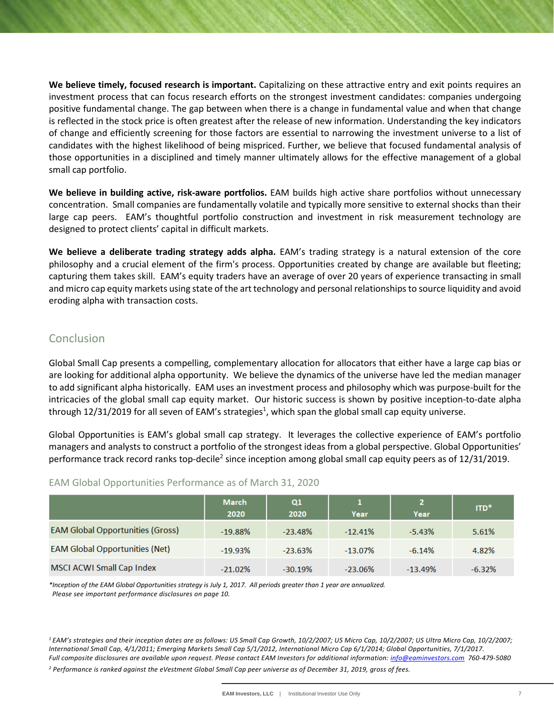**We believe timely, focused research is important.** Capitalizing on these attractive entry and exit points requires an investment process that can focus research efforts on the strongest investment candidates: companies undergoing positive fundamental change. The gap between when there is a change in fundamental value and when that change is reflected in the stock price is often greatest after the release of new information. Understanding the key indicators of change and efficiently screening for those factors are essential to narrowing the investment universe to a list of candidates with the highest likelihood of being mispriced. Further, we believe that focused fundamental analysis of those opportunities in a disciplined and timely manner ultimately allows for the effective management of a global small cap portfolio.

**We believe in building active, risk-aware portfolios.** EAM builds high active share portfolios without unnecessary concentration. Small companies are fundamentally volatile and typically more sensitive to external shocks than their large cap peers. EAM's thoughtful portfolio construction and investment in risk measurement technology are designed to protect clients' capital in difficult markets.

**We believe a deliberate trading strategy adds alpha.** EAM's trading strategy is a natural extension of the core philosophy and a crucial element of the firm's process. Opportunities created by change are available but fleeting; capturing them takes skill. EAM's equity traders have an average of over 20 years of experience transacting in small and micro cap equity markets using state of the art technology and personal relationships to source liquidity and avoid eroding alpha with transaction costs.

## **Conclusion**

Global Small Cap presents a compelling, complementary allocation for allocators that either have a large cap bias or are looking for additional alpha opportunity. We believe the dynamics of the universe have led the median manager to add significant alpha historically. EAM uses an investment process and philosophy which was purpose-built for the intricacies of the global small cap equity market. Our historic success is shown by positive inception-to-date alpha through 12/31/2019 for all seven of EAM's strategies<sup>1</sup>, which span the global small cap equity universe.

Global Opportunities is EAM's global small cap strategy. It leverages the collective experience of EAM's portfolio managers and analysts to construct a portfolio of the strongest ideas from a global perspective. Global Opportunities' performance track record ranks top-decile<sup>2</sup> since inception among global small cap equity peers as of 12/31/2019.

|                                         | March<br>2020 | Q1<br>2020 | Year       | 2<br>Year | ITD*     |
|-----------------------------------------|---------------|------------|------------|-----------|----------|
| <b>EAM Global Opportunities (Gross)</b> | $-19.88%$     | $-23.48%$  | $-12.41%$  | $-5.43%$  | 5.61%    |
| <b>EAM Global Opportunities (Net)</b>   | $-19.93%$     | $-23.63%$  | $-13.07\%$ | $-6.14%$  | 4.82%    |
| MSCI ACWI Small Cap Index               | $-21.02%$     | $-30.19%$  | $-23.06%$  | $-13.49%$ | $-6.32%$ |

#### EAM Global Opportunities Performance as of March 31, 2020

*\*Inception of the EAM Global Opportunities strategy is July 1, 2017. All periods greater than 1 year are annualized. Please see important performance disclosures on page 10.*

*<sup>1</sup> EAM's strategies and their inception dates are as follows: US Small Cap Growth, 10/2/2007; US Micro Cap, 10/2/2007; US Ultra Micro Cap, 10/2/2007; International Small Cap, 4/1/2011; Emerging Markets Small Cap 5/1/2012, International Micro Cap 6/1/2014; Global Opportunities, 7/1/2017. Full composite disclosures are available upon request. Please contact EAM Investors for additional information[: info@eaminvestors.com](mailto:info@eaminvestors.com) 760-479-5080 <sup>2</sup> Performance is ranked against the eVestment Global Small Cap peer universe as of December 31, 2019, gross of fees.*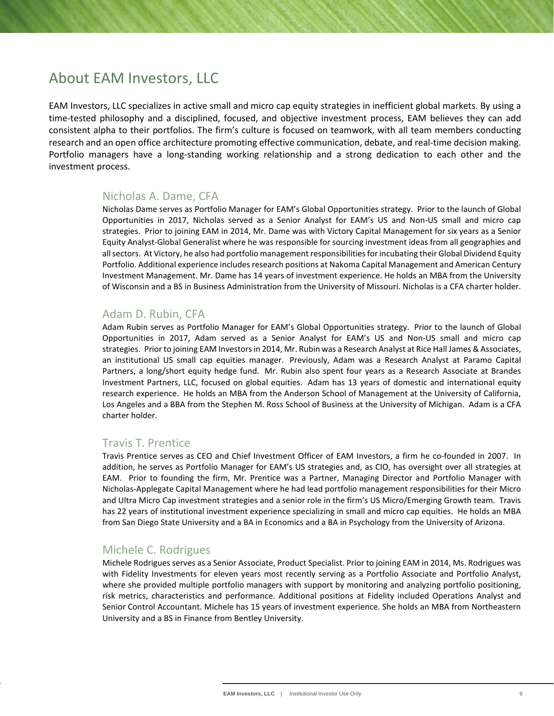## About EAM Investors, LLC

EAM Investors, LLC specializes in active small and micro cap equity strategies in inefficient global markets. By using a time-tested philosophy and a disciplined, focused, and objective investment process, EAM believes they can add consistent alpha to their portfolios. The firm's culture is focused on teamwork, with all team members conducting research and an open office architecture promoting effective communication, debate, and real-time decision making. Portfolio managers have a long-standing working relationship and a strong dedication to each other and the investment process.

#### Nicholas A. Dame, CFA

Nicholas Dame serves as Portfolio Manager for EAM's Global Opportunities strategy. Prior to the launch of Global Opportunities in 2017, Nicholas served as a Senior Analyst for EAM's US and Non-US small and micro cap strategies. Prior to joining EAM in 2014, Mr. Dame was with Victory Capital Management for six years as a Senior Equity Analyst-Global Generalist where he was responsible for sourcing investment ideas from all geographies and all sectors. At Victory, he also had portfolio management responsibilities for incubating their Global Dividend Equity Portfolio. Additional experience includes research positions at Nakoma Capital Management and American Century Investment Management. Mr. Dame has 14 years of investment experience. He holds an MBA from the University of Wisconsin and a BS in Business Administration from the University of Missouri. Nicholas is a CFA charter holder.

#### Adam D. Rubin, CFA

Adam Rubin serves as Portfolio Manager for EAM's Global Opportunities strategy. Prior to the launch of Global Opportunities in 2017, Adam served as a Senior Analyst for EAM's US and Non-US small and micro cap strategies. Prior to joining EAM Investors in 2014, Mr. Rubin was a Research Analyst at Rice Hall James & Associates, an institutional US small cap equities manager. Previously, Adam was a Research Analyst at Paramo Capital Partners, a long/short equity hedge fund. Mr. Rubin also spent four years as a Research Associate at Brandes Investment Partners, LLC, focused on global equities. Adam has 13 years of domestic and international equity research experience. He holds an MBA from the Anderson School of Management at the University of California, Los Angeles and a BBA from the Stephen M. Ross School of Business at the University of Michigan. Adam is a CFA charter holder.

#### Travis T. Prentice

Travis Prentice serves as CEO and Chief Investment Officer of EAM Investors, a firm he co-founded in 2007. In addition, he serves as Portfolio Manager for EAM's US strategies and, as CIO, has oversight over all strategies at EAM. Prior to founding the firm, Mr. Prentice was a Partner, Managing Director and Portfolio Manager with Nicholas-Applegate Capital Management where he had lead portfolio management responsibilities for their Micro and Ultra Micro Cap investment strategies and a senior role in the firm's US Micro/Emerging Growth team. Travis has 22 years of institutional investment experience specializing in small and micro cap equities. He holds an MBA from San Diego State University and a BA in Economics and a BA in Psychology from the University of Arizona.

#### Michele C. Rodrigues

Michele Rodrigues serves as a Senior Associate, Product Specialist. Prior to joining EAM in 2014, Ms. Rodrigues was with Fidelity Investments for eleven years most recently serving as a Portfolio Associate and Portfolio Analyst, where she provided multiple portfolio managers with support by monitoring and analyzing portfolio positioning, risk metrics, characteristics and performance. Additional positions at Fidelity included Operations Analyst and Senior Control Accountant. Michele has 15 years of investment experience. She holds an MBA from Northeastern University and a BS in Finance from Bentley University.